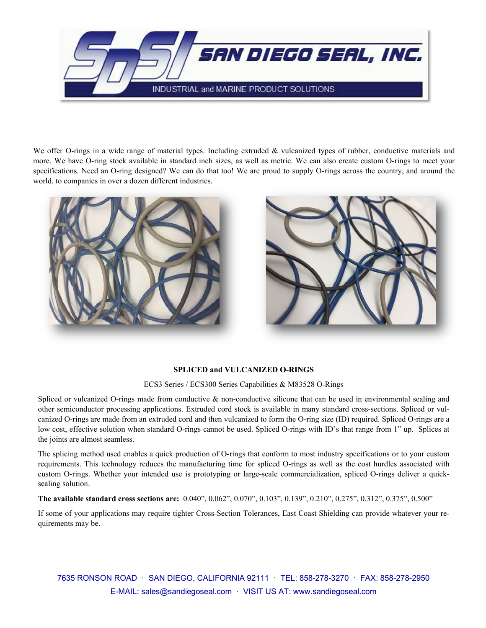

We offer O-rings in a wide range of material types. Including extruded & vulcanized types of rubber, conductive materials and more. We have O-ring stock available in standard inch sizes, as well as metric. We can also create custom O-rings to meet your specifications. Need an O-ring designed? We can do that too! We are proud to supply O-rings across the country, and around the world, to companies in over a dozen different industries.





### **SPLICED and VULCANIZED O-RINGS**

ECS3 Series / ECS300 Series Capabilities & M83528 O-Rings

Spliced or vulcanized O-rings made from conductive  $\&$  non-conductive silicone that can be used in environmental sealing and other semiconductor processing applications. Extruded cord stock is available in many standard cross-sections. Spliced or vulcanized O-rings are made from an extruded cord and then vulcanized to form the O-ring size (ID) required. Spliced O-rings are a low cost, effective solution when standard O-rings cannot be used. Spliced O-rings with ID's that range from 1" up. Splices at the joints are almost seamless.

The splicing method used enables a quick production of O-rings that conform to most industry specifications or to your custom requirements. This technology reduces the manufacturing time for spliced O-rings as well as the cost hurdles associated with custom O-rings. Whether your intended use is prototyping or large-scale commercialization, spliced O-rings deliver a quicksealing solution.

**The available standard cross sections are:** 0.040", 0.062", 0.070", 0.103", 0.139", 0.210", 0.275", 0.312", 0.375", 0.500"

If some of your applications may require tighter Cross-Section Tolerances, East Coast Shielding can provide whatever your requirements may be.

7635 RONSON ROAD · SAN DIEGO, CALIFORNIA 92111 · TEL: 858-278-3270 · FAX: 858-278-2950 E-MAIL: sales@sandiegoseal.com · VISIT US AT: www.sandiegoseal.com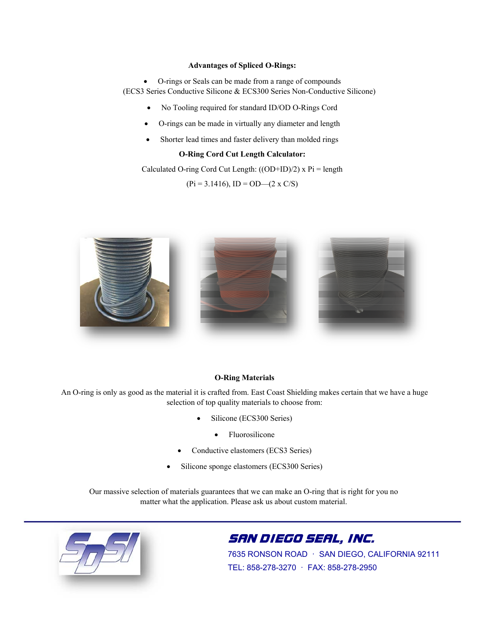### **Advantages of Spliced O-Rings:**

 O-rings or Seals can be made from a range of compounds (ECS3 Series Conductive Silicone & ECS300 Series Non-Conductive Silicone)

- No Tooling required for standard ID/OD O-Rings Cord
- O-rings can be made in virtually any diameter and length
- Shorter lead times and faster delivery than molded rings

### **O-Ring Cord Cut Length Calculator:**

Calculated O-ring Cord Cut Length:  $((OD+ID)/2)$  x Pi = length

 $(Pi = 3.1416)$ , ID = OD— $(2 \times C/S)$ 



#### **O-Ring Materials**

An O-ring is only as good as the material it is crafted from. East Coast Shielding makes certain that we have a huge selection of top quality materials to choose from:

- Silicone (ECS300 Series)
	- Fluorosilicone
- Conductive elastomers (ECS3 Series)
- Silicone sponge elastomers (ECS300 Series)

Our massive selection of materials guarantees that we can make an O-ring that is right for you no matter what the application. Please ask us about custom material.



## SAN DIEGO SEAL, INC.

7635 RONSON ROAD · SAN DIEGO, CALIFORNIA 92111 TEL: 858-278-3270 · FAX: 858-278-2950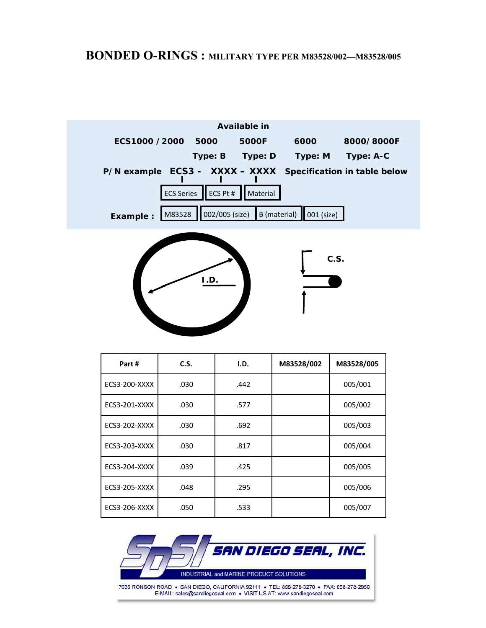

| Part#                | C.S. | I.D. | M83528/002 | M83528/005 |
|----------------------|------|------|------------|------------|
| ECS3-200-XXXX        | .030 | .442 |            | 005/001    |
| ECS3-201-XXXX        | .030 | .577 |            | 005/002    |
| ECS3-202-XXXX        | .030 | .692 |            | 005/003    |
| ECS3-203-XXXX        | .030 | .817 |            | 005/004    |
| <b>ECS3-204-XXXX</b> | .039 | .425 |            | 005/005    |
| ECS3-205-XXXX        | .048 | .295 |            | 005/006    |
| ECS3-206-XXXX        | .050 | .533 |            | 005/007    |

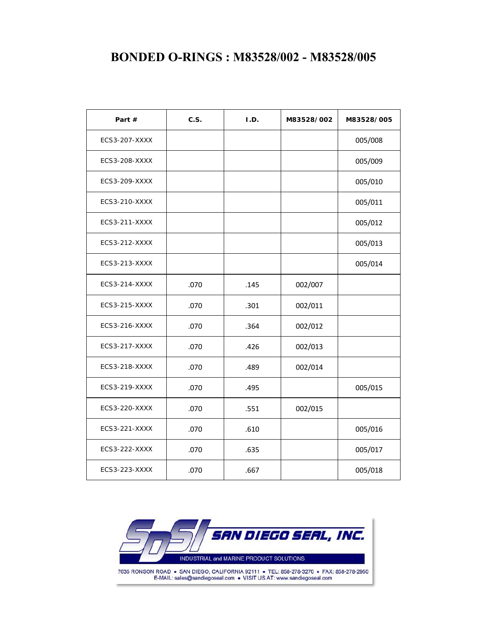## **BONDED O-RINGS : M83528/002 - M83528/005**

| Part $#$      | C.S. | I.D. | M83528/002 | M83528/005 |  |
|---------------|------|------|------------|------------|--|
| ECS3-207-XXXX |      |      |            | 005/008    |  |
| ECS3-208-XXXX |      |      |            | 005/009    |  |
| ECS3-209-XXXX |      |      |            | 005/010    |  |
| ECS3-210-XXXX |      |      |            | 005/011    |  |
| ECS3-211-XXXX |      |      |            | 005/012    |  |
| ECS3-212-XXXX |      |      |            | 005/013    |  |
| ECS3-213-XXXX |      |      |            | 005/014    |  |
| ECS3-214-XXXX | .070 | .145 | 002/007    |            |  |
| ECS3-215-XXXX | .070 | .301 | 002/011    |            |  |
| ECS3-216-XXXX | .070 | .364 | 002/012    |            |  |
| ECS3-217-XXXX | .070 | .426 | 002/013    |            |  |
| ECS3-218-XXXX | .070 | .489 | 002/014    |            |  |
| ECS3-219-XXXX | .070 | .495 |            | 005/015    |  |
| ECS3-220-XXXX | .070 | .551 | 002/015    |            |  |
| ECS3-221-XXXX | .070 | .610 |            | 005/016    |  |
| ECS3-222-XXXX | .070 | .635 |            | 005/017    |  |
| ECS3-223-XXXX | .070 | .667 |            | 005/018    |  |

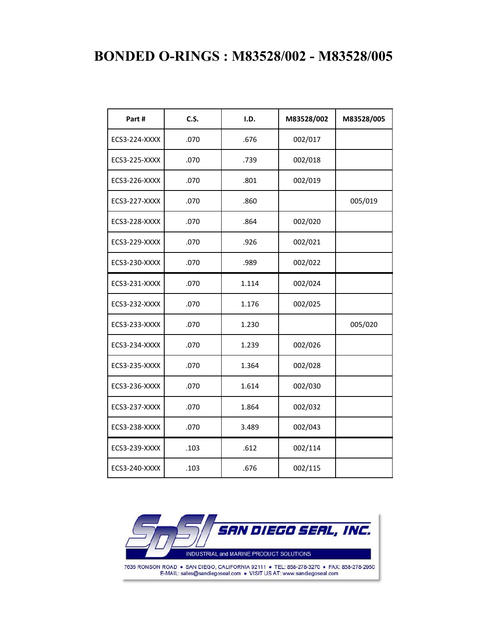# **BONDED O-RINGS : M83528/002 - M83528/005**

| Part#                | C.S. | I.D.  | M83528/002 | M83528/005 |
|----------------------|------|-------|------------|------------|
| <b>ECS3-224-XXXX</b> | .070 | .676  | 002/017    |            |
| <b>ECS3-225-XXXX</b> | .070 | .739  | 002/018    |            |
| <b>ECS3-226-XXXX</b> | .070 | .801  | 002/019    |            |
| ECS3-227-XXXX        | .070 | .860  |            | 005/019    |
| <b>ECS3-228-XXXX</b> | .070 | .864  | 002/020    |            |
| <b>ECS3-229-XXXX</b> | .070 | .926  | 002/021    |            |
| ECS3-230-XXXX        | .070 | .989  | 002/022    |            |
| ECS3-231-XXXX        | .070 | 1.114 | 002/024    |            |
| <b>ECS3-232-XXXX</b> | .070 | 1.176 | 002/025    |            |
| <b>ECS3-233-XXXX</b> | .070 | 1.230 |            | 005/020    |
| <b>ECS3-234-XXXX</b> | .070 | 1.239 | 002/026    |            |
| <b>ECS3-235-XXXX</b> | .070 | 1.364 | 002/028    |            |
| ECS3-236-XXXX        | .070 | 1.614 | 002/030    |            |
| <b>ECS3-237-XXXX</b> | .070 | 1.864 | 002/032    |            |
| ECS3-238-XXXX        | .070 | 3.489 | 002/043    |            |
| ECS3-239-XXXX        | .103 | .612  | 002/114    |            |
| ECS3-240-XXXX        | .103 | .676  | 002/115    |            |



7635 RONSON ROAD . SAN DIEGO, CALIFORNIA 92111 . TEL: 858-278-3270 . FAX: 858-278-2950 E-MAIL: sales@sandiegoseal.com . VISIT US AT: www.sandiegoseal.com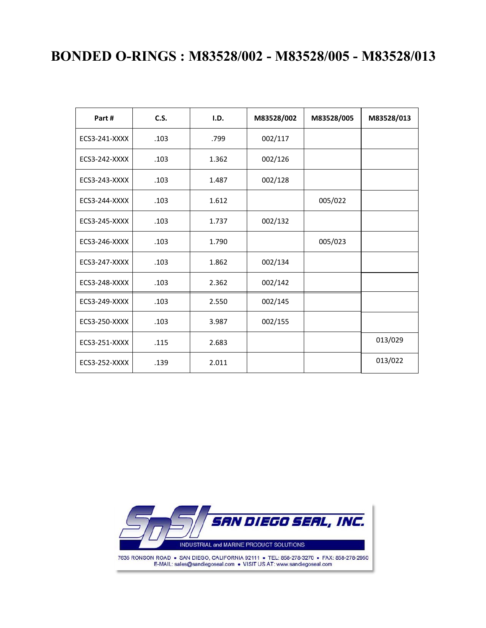# **BONDED O-RINGS : M83528/002 - M83528/005 - M83528/013**

| Part#                | <b>C.S.</b> | I.D.  | M83528/002 | M83528/005 | M83528/013 |
|----------------------|-------------|-------|------------|------------|------------|
| ECS3-241-XXXX        | .103        | .799  | 002/117    |            |            |
| ECS3-242-XXXX        | .103        | 1.362 | 002/126    |            |            |
| ECS3-243-XXXX        | .103        | 1.487 | 002/128    |            |            |
| ECS3-244-XXXX        | .103        | 1.612 |            | 005/022    |            |
| <b>ECS3-245-XXXX</b> | .103        | 1.737 | 002/132    |            |            |
| ECS3-246-XXXX        | .103        | 1.790 |            | 005/023    |            |
| ECS3-247-XXXX        | .103        | 1.862 | 002/134    |            |            |
| ECS3-248-XXXX        | .103        | 2.362 | 002/142    |            |            |
| ECS3-249-XXXX        | .103        | 2.550 | 002/145    |            |            |
| ECS3-250-XXXX        | .103        | 3.987 | 002/155    |            |            |
| ECS3-251-XXXX        | .115        | 2.683 |            |            | 013/029    |
| <b>ECS3-252-XXXX</b> | .139        | 2.011 |            |            | 013/022    |